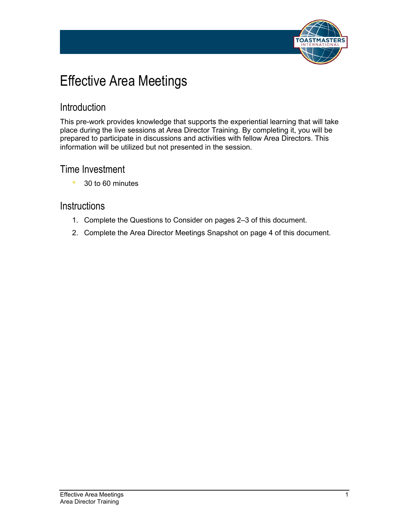

# Effective Area Meetings

#### Introduction

This pre-work provides knowledge that supports the experiential learning that will take place during the live sessions at Area Director Training. By completing it, you will be prepared to participate in discussions and activities with fellow Area Directors. This information will be utilized but not presented in the session.

#### Time Investment

■ 30 to 60 minutes

#### **Instructions**

- 1. Complete the Questions to Consider on pages 2–3 of this document.
- 2. Complete the Area Director Meetings Snapshot on page 4 of this document.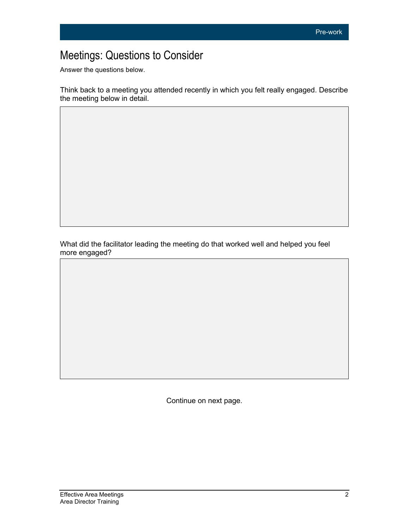## Meetings: Questions to Consider

Answer the questions below.

Think back to a meeting you attended recently in which you felt really engaged. Describe the meeting below in detail.

What did the facilitator leading the meeting do that worked well and helped you feel more engaged?

Continue on next page.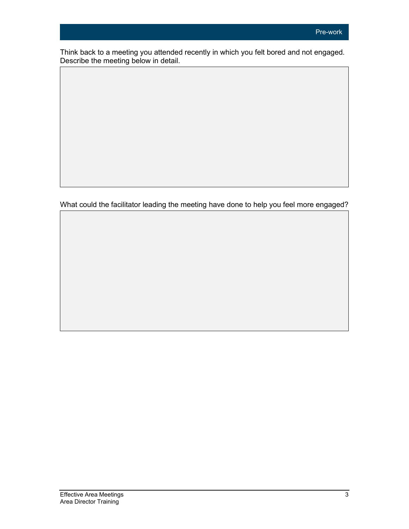Think back to a meeting you attended recently in which you felt bored and not engaged. Describe the meeting below in detail.

What could the facilitator leading the meeting have done to help you feel more engaged?